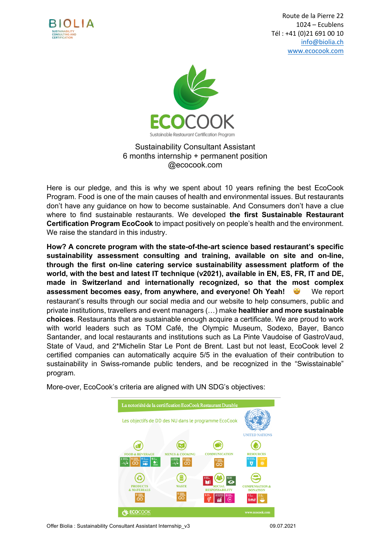

 Route de la Pierre 22 1024 – Ecublens Tél : +41 (0)21 691 00 10 info@biolia.ch www.ecocook.com



#### Sustainability Consultant Assistant 6 months internship + permanent position @ecocook.com

Here is our pledge, and this is why we spent about 10 years refining the best EcoCook Program. Food is one of the main causes of health and environmental issues. But restaurants don't have any guidance on how to become sustainable. And Consumers don't have a clue where to find sustainable restaurants. We developed **the first Sustainable Restaurant Certification Program EcoCook** to impact positively on people's health and the environment. We raise the standard in this industry.

**How? A concrete program with the state-of-the-art science based restaurant's specific sustainability assessment consulting and training, available on site and on-line, through the first on-line catering service sustainability assessment platform of the world, with the best and latest IT technique (v2021), available in EN, ES, FR, IT and DE, made in Switzerland and internationally recognized, so that the most complex assessment becomes easy, from anywhere, and everyone! Oh Yeah!**  $\bullet$  **We report** restaurant's results through our social media and our website to help consumers, public and private institutions, travellers and event managers (…) make **healthier and more sustainable choices**. Restaurants that are sustainable enough acquire a certificate. We are proud to work with world leaders such as TOM Café, the Olympic Museum, Sodexo, Bayer, Banco Santander, and local restaurants and institutions such as La Pinte Vaudoise of GastroVaud, State of Vaud, and 2\*Michelin Star Le Pont de Brent. Last but not least, EcoCook level 2 certified companies can automatically acquire 5/5 in the evaluation of their contribution to sustainability in Swiss-romande public tenders, and be recognized in the "Swisstainable" program.

More-over, EcoCook's criteria are aligned with UN SDG's objectives:



Offer Biolia : Sustainability Consultant Assistant Internship\_v3 09.07.2021